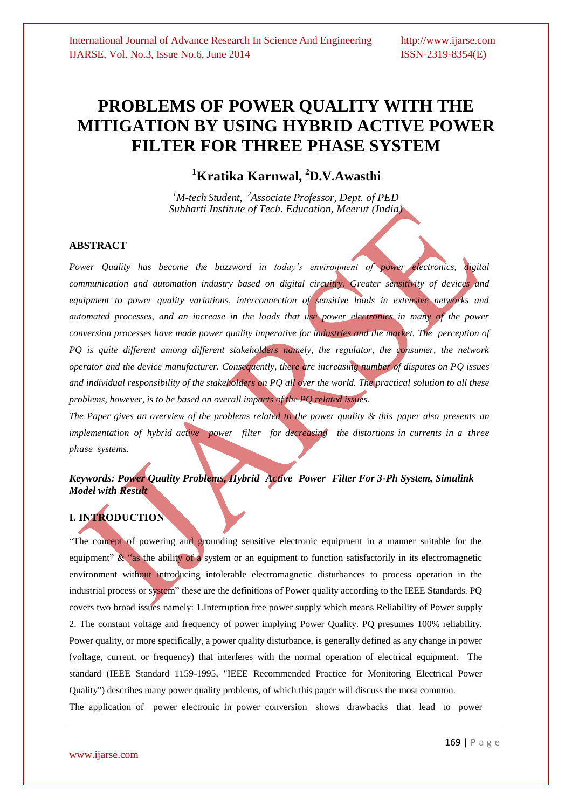## **PROBLEMS OF POWER QUALITY WITH THE MITIGATION BY USING HYBRID ACTIVE POWER FILTER FOR THREE PHASE SYSTEM**

**<sup>1</sup>Kratika Karnwal, <sup>2</sup>D.V.Awasthi**

*<sup>1</sup>M-tech Student, <sup>2</sup>Associate Professor, Dept. of PED Subharti Institute of Tech. Education, Meerut (India)*

#### **ABSTRACT**

*Power Quality has become the buzzword in today's environment of power electronics, digital communication and automation industry based on digital circuitry. Greater sensitivity of devices and equipment to power quality variations, interconnection of sensitive loads in extensive networks and automated processes, and an increase in the loads that use power electronics in many of the power conversion processes have made power quality imperative for industries and the market. The perception of PQ is quite different among different stakeholders namely, the regulator, the consumer, the network operator and the device manufacturer. Consequently, there are increasing number of disputes on PQ issues and individual responsibility of the stakeholders on PQ all over the world. The practical solution to all these problems, however, is to be based on overall impacts of the PQ related issues.*

*The Paper gives an overview of the problems related to the power quality & this paper also presents an implementation of hybrid active power filter for decreasing the distortions in currents in a three phase systems.*

### *Keywords: Power Quality Problems, Hybrid Active Power Filter For 3-Ph System, Simulink Model with Result*

## **I. INTRODUCTION**

"The concept of powering and grounding sensitive electronic equipment in a manner suitable for the equipment" & "as the ability of a system or an equipment to function satisfactorily in its electromagnetic environment without introducing intolerable electromagnetic disturbances to process operation in the industrial process or system" these are the definitions of Power quality according to the IEEE Standards. PQ covers two broad issues namely: 1.Interruption free power supply which means Reliability of Power supply 2. The constant voltage and frequency of power implying Power Quality. PQ presumes 100% reliability. Power quality, or more specifically, a power quality disturbance, is generally defined as any change in power (voltage, current, or frequency) that interferes with the normal operation of electrical equipment. The standard (IEEE Standard 1159-1995, "IEEE Recommended Practice for Monitoring Electrical Power Quality") describes many power quality problems, of which this paper will discuss the most common. The application of power electronic in power conversion shows drawbacks that lead to power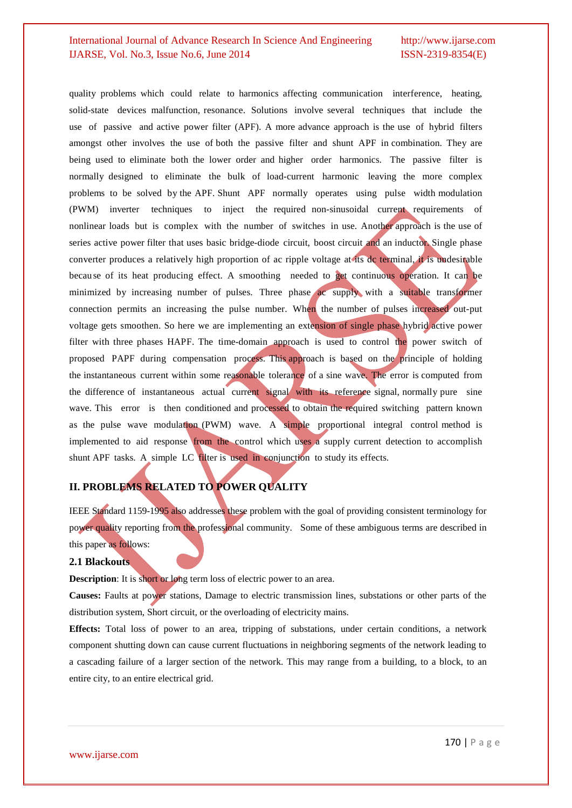quality problems which could relate to harmonics affecting communication interference, heating, solid-state devices malfunction, resonance. Solutions involve several techniques that include the use of passive and active power filter (APF). A more advance approach is the use of hybrid filters amongst other involves the use of both the passive filter and shunt APF in combination. They are being used to eliminate both the lower order and higher order harmonics. The passive filter is normally designed to eliminate the bulk of load-current harmonic leaving the more complex problems to be solved by the APF. Shunt APF normally operates using pulse width modulation (PWM) inverter techniques to inject the required non-sinusoidal current requirements of nonlinear loads but is complex with the number of switches in use. Another approach is the use of series active power filter that uses basic bridge-diode circuit, boost circuit and an inductor. Single phase converter produces a relatively high proportion of ac ripple voltage at its dc terminal, it is undesirable because of its heat producing effect. A smoothing needed to get continuous operation. It can be minimized by increasing number of pulses. Three phase ac supply with a suitable transformer connection permits an increasing the pulse number. When the number of pulses increased out-put voltage gets smoothen. So here we are implementing an extension of single phase hybrid active power filter with three phases HAPF. The time-domain approach is used to control the power switch of proposed PAPF during compensation process. This approach is based on the principle of holding the instantaneous current within some reasonable tolerance of a sine wave. The error is computed from the difference of instantaneous actual current signal with its reference signal, normally pure sine wave. This error is then conditioned and processed to obtain the required switching pattern known as the pulse wave modulation (PWM) wave. A simple proportional integral control method is implemented to aid response from the control which uses a supply current detection to accomplish shunt APF tasks. A simple LC filter is used in conjunction to study its effects.

#### **II. PROBLEMS RELATED TO POWER QUALITY**

IEEE Standard 1159-1995 also addresses these problem with the goal of providing consistent terminology for power quality reporting from the professional community. Some of these ambiguous terms are described in this paper as follows:

#### **2.1 Blackouts**

**Description**: It is short or long term loss of electric power to an area.

**Causes:** Faults at power stations, Damage to electric transmission lines, substations or other parts of the distribution system, Short circuit, or the overloading of electricity mains.

**Effects:** Total loss of power to an area, tripping of substations, under certain conditions, a network component shutting down can cause current fluctuations in neighboring segments of the network leading to a cascading failure of a larger section of the network. This may range from a building, to a block, to an entire city, to an entire electrical grid.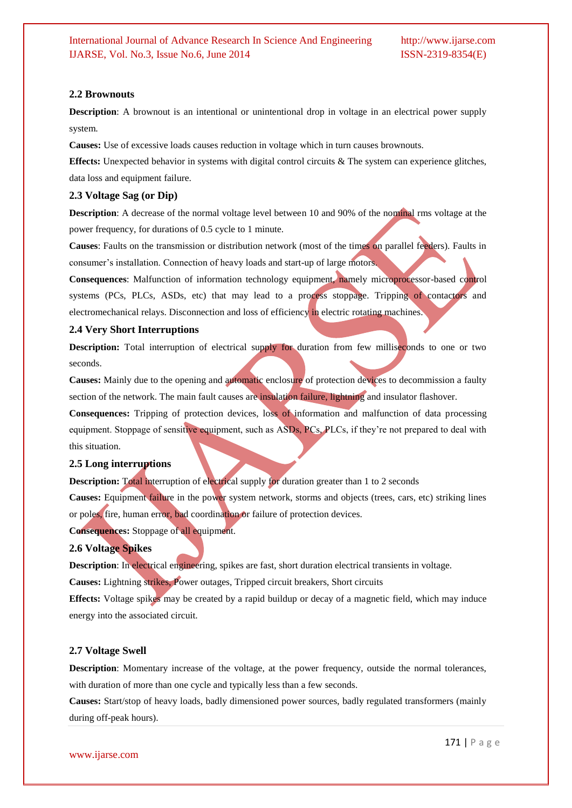#### **2.2 Brownouts**

**Description**: A brownout is an intentional or unintentional drop in voltage in an electrical power supply system.

**Causes:** Use of excessive loads causes reduction in voltage which in turn causes brownouts.

**Effects:** Unexpected behavior in systems with digital control circuits & The system can experience glitches, data loss and equipment failure.

#### **2.3 Voltage Sag (or Dip)**

**Description**: A decrease of the normal voltage level between 10 and 90% of the nominal rms voltage at the power frequency, for durations of 0.5 cycle to 1 minute.

**Causes**: Faults on the transmission or distribution network (most of the times on parallel feeders). Faults in consumer's installation. Connection of heavy loads and start-up of large motors.

**Consequences**: Malfunction of information technology equipment, namely microprocessor-based control systems (PCs, PLCs, ASDs, etc) that may lead to a process stoppage. Tripping of contactors and electromechanical relays. Disconnection and loss of efficiency in electric rotating machines.

#### **2.4 Very Short Interruptions**

**Description:** Total interruption of electrical supply for duration from few milliseconds to one or two seconds.

**Causes:** Mainly due to the opening and automatic enclosure of protection devices to decommission a faulty section of the network. The main fault causes are insulation failure, lightning and insulator flashover.

**Consequences:** Tripping of protection devices, loss of information and malfunction of data processing equipment. Stoppage of sensitive equipment, such as ASDs, PCs, PLCs, if they're not prepared to deal with this situation.

#### **2.5 Long interruptions**

**Description:** Total interruption of electrical supply for duration greater than 1 to 2 seconds

**Causes:** Equipment failure in the power system network, storms and objects (trees, cars, etc) striking lines or poles, fire, human error, bad coordination or failure of protection devices.

**Consequences:** Stoppage of all equipment.

#### **2.6 Voltage Spikes**

**Description**: In electrical engineering, spikes are fast, short duration electrical transients in voltage.

**Causes:** Lightning strikes, Power outages, Tripped circuit breakers, Short circuits

**Effects:** Voltage spikes may be created by a rapid buildup or decay of a magnetic field, which may induce energy into the associated circuit.

#### **2.7 Voltage Swell**

**Description**: Momentary increase of the voltage, at the power frequency, outside the normal tolerances, with duration of more than one cycle and typically less than a few seconds.

**Causes:** Start/stop of heavy loads, badly dimensioned power sources, badly regulated transformers (mainly during off-peak hours).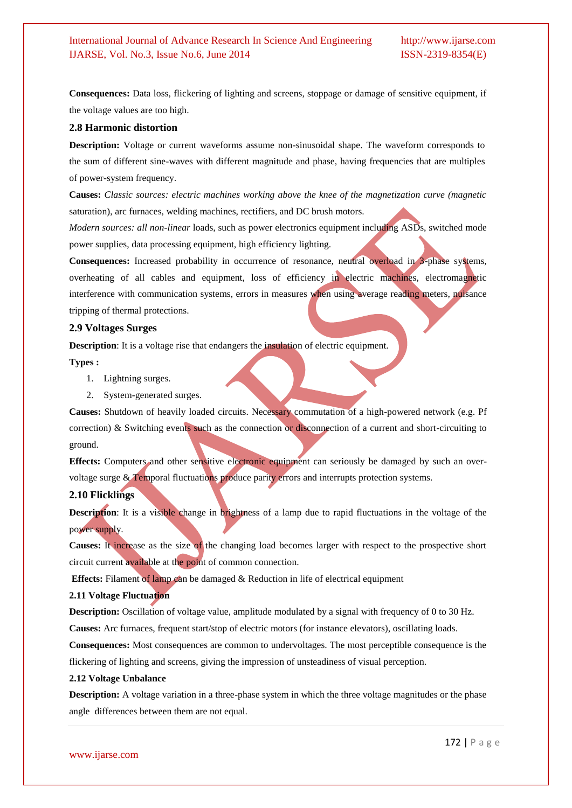**Consequences:** Data loss, flickering of lighting and screens, stoppage or damage of sensitive equipment, if the voltage values are too high.

#### **2.8 Harmonic distortion**

**Description:** Voltage or current waveforms assume non-sinusoidal shape. The waveform corresponds to the sum of different sine-waves with different magnitude and phase, having frequencies that are multiples of power-system frequency.

**Causes:** *Classic sources: electric machines working above the knee of the magnetization curve (magnetic*  saturation), arc furnaces, welding machines, rectifiers, and DC brush motors.

*Modern sources: all non-linear* loads, such as power electronics equipment including ASDs, switched mode power supplies, data processing equipment, high efficiency lighting.

**Consequences:** Increased probability in occurrence of resonance, neutral overload in 3-phase systems, overheating of all cables and equipment, loss of efficiency in electric machines, electromagnetic interference with communication systems, errors in measures when using average reading meters, nuisance tripping of thermal protections.

#### **2.9 Voltages Surges**

**Description**: It is a voltage rise that endangers the **insulation** of electric equipment.

**Types :**

- 1. Lightning surges.
- 2. System-generated surges.

**Causes:** Shutdown of heavily loaded circuits. Necessary commutation of a high-powered network (e.g. Pf correction) & Switching events such as the connection or disconnection of a current and short-circuiting to ground.

**Effects:** Computers and other sensitive electronic equipment can seriously be damaged by such an overvoltage surge & Temporal fluctuations produce parity errors and interrupts protection systems.

#### **2.10 Flicklings**

**Description**: It is a visible change in brightness of a lamp due to rapid fluctuations in the voltage of the power supply.

**Causes:** It increase as the size of the changing load becomes larger with respect to the prospective short circuit current available at the point of common connection.

**Effects:** Filament of lamp can be damaged & Reduction in life of electrical equipment

#### **2.11 Voltage Fluctuation**

**Description:** Oscillation of voltage value, amplitude modulated by a signal with frequency of 0 to 30 Hz.

**Causes:** Arc furnaces, frequent start/stop of electric motors (for instance elevators), oscillating loads.

**Consequences:** Most consequences are common to undervoltages. The most perceptible consequence is the flickering of lighting and screens, giving the impression of unsteadiness of visual perception.

#### **2.12 Voltage Unbalance**

**Description:** A voltage variation in a three-phase system in which the three voltage magnitudes or the phase angle differences between them are not equal.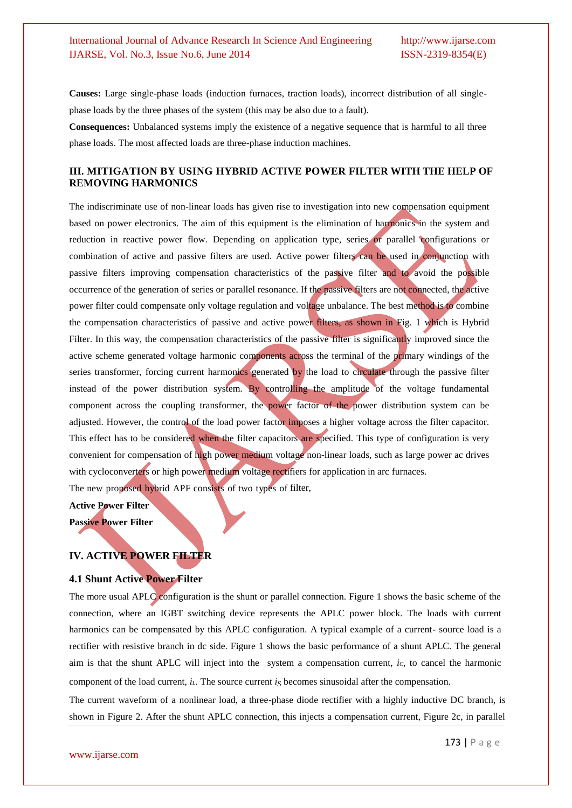**Causes:** Large single-phase loads (induction furnaces, traction loads), incorrect distribution of all singlephase loads by the three phases of the system (this may be also due to a fault).

**Consequences:** Unbalanced systems imply the existence of a negative sequence that is harmful to all three phase loads. The most affected loads are three-phase induction machines.

#### **III. MITIGATION BY USING HYBRID ACTIVE POWER FILTER WITH THE HELP OF REMOVING HARMONICS**

The indiscriminate use of non-linear loads has given rise to investigation into new compensation equipment based on power electronics. The aim of this equipment is the elimination of harmonics in the system and reduction in reactive power flow. Depending on application type, series or parallel configurations or combination of active and passive filters are used. Active power filters can be used in conjunction with passive filters improving compensation characteristics of the passive filter and to avoid the possible occurrence of the generation of series or parallel resonance. If the passive filters are not connected, the active power filter could compensate only voltage regulation and voltage unbalance. The best method is to combine the compensation characteristics of passive and active power filters, as shown in Fig. 1 which is Hybrid Filter. In this way, the compensation characteristics of the passive filter is significantly improved since the active scheme generated voltage harmonic components across the terminal of the primary windings of the series transformer, forcing current harmonics generated by the load to circulate through the passive filter instead of the power distribution system. By controlling the amplitude of the voltage fundamental component across the coupling transformer, the power factor of the power distribution system can be adjusted. However, the control of the load power factor imposes a higher voltage across the filter capacitor. This effect has to be considered when the filter capacitors are specified. This type of configuration is very convenient for compensation of high power medium voltage non-linear loads, such as large power ac drives with cycloconverters or high power medium voltage rectifiers for application in arc furnaces.

The new proposed hybrid APF consists of two types of filter,

**Active Power Filter**

**Passive Power Filter**

#### **IV. ACTIVE POWER FILTER**

#### **4.1 Shunt Active Power Filter**

The more usual APLC configuration is the shunt or parallel connection. Figure 1 shows the basic scheme of the connection, where an IGBT switching device represents the APLC power block. The loads with current harmonics can be compensated by this APLC configuration. A typical example of a current- source load is a rectifier with resistive branch in dc side. Figure 1 shows the basic performance of a shunt APLC. The general aim is that the shunt APLC will inject into the system a compensation current, *iC*, to cancel the harmonic component of the load current, *il*. The source current  $i<sub>S</sub>$  becomes sinusoidal after the compensation.

The current waveform of a nonlinear load, a three-phase diode rectifier with a highly inductive DC branch, is shown in Figure 2. After the shunt APLC connection, this injects a compensation current, Figure 2c, in parallel

www.ijarse.com

173 | P a g e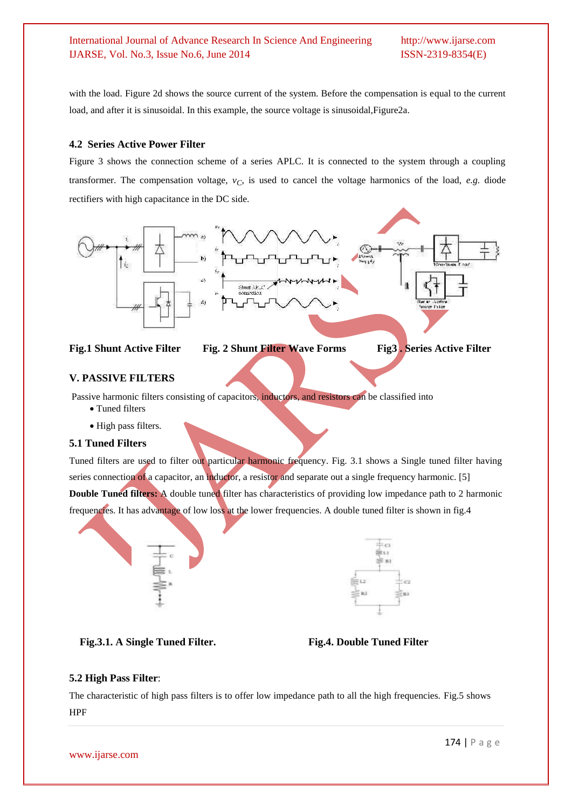with the load. Figure 2d shows the source current of the system. Before the compensation is equal to the current load, and after it is sinusoidal. In this example, the source voltage is sinusoidal, Figure2a.

#### **4.2 Series Active Power Filter**

Figure 3 shows the connection scheme of a series APLC. It is connected to the system through a coupling transformer. The compensation voltage,  $v_C$ , is used to cancel the voltage harmonics of the load, *e.g.* diode rectifiers with high capacitance in the DC side.





#### **V. PASSIVE FILTERS**

Passive harmonic filters consisting of capacitors, inductors, and resistors can be classified into

- Tuned filters
- High pass filters.

#### **5.1 Tuned Filters**

Tuned filters are used to filter out particular harmonic frequency. Fig. 3.1 shows a Single tuned filter having series connection of a capacitor, an inductor, a resistor and separate out a single frequency harmonic. [5] **Double Tuned filters:** A double tuned filter has characteristics of providing low impedance path to 2 harmonic frequencies. It has advantage of low loss at the lower frequencies. A double tuned filter is shown in fig.4



| $\sim$<br>٠<br>÷                                  | ÷                  | ×<br>۰           |
|---------------------------------------------------|--------------------|------------------|
|                                                   | ۱                  | ÷<br>٠           |
|                                                   |                    | ÷<br>٠<br>I<br>٠ |
| ۰<br>۰<br>٠<br>T<br>$\overline{\phantom{a}}$<br>٠ | ٠<br>٠<br>ï<br>. . | F<br>T<br>T<br>W |

#### **Fig.3.1. A Single Tuned Filter. Fig.4. Double Tuned Filter**



#### **5.2 High Pass Filter**:

The characteristic of high pass filters is to offer low impedance path to all the high frequencies. Fig.5 shows HPF

www.ijarse.com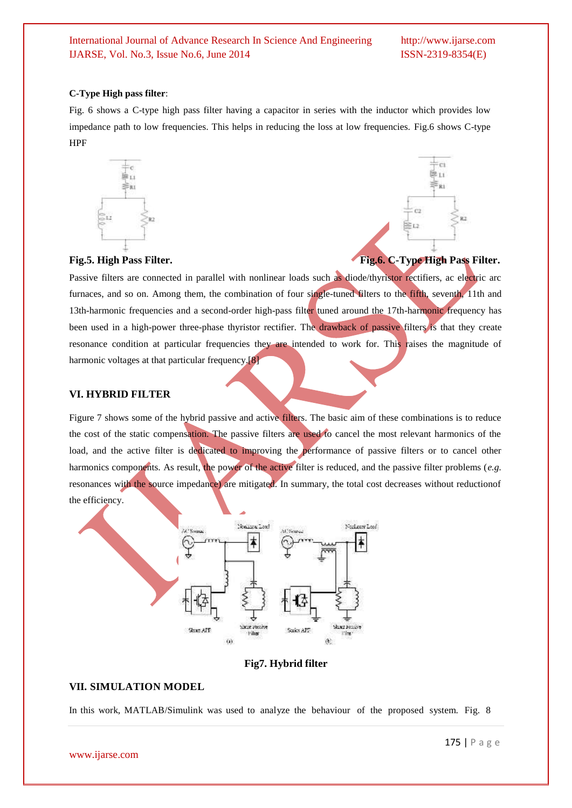#### **C-Type High pass filter**:

Fig. 6 shows a C-type high pass filter having a capacitor in series with the inductor which provides low impedance path to low frequencies. This helps in reducing the loss at low frequencies. Fig.6 shows C-type HPF



# ċ 10m

#### Fig.5. High Pass Filter. The **Fig.6. C-Type High Pass Filter.**

Passive filters are connected in parallel with nonlinear loads such as diode/thyristor rectifiers, ac electric arc furnaces, and so on. Among them, the combination of four single-tuned filters to the fifth, seventh, 11th and 13th-harmonic frequencies and a second-order high-pass filter tuned around the 17th-harmonic frequency has been used in a high-power three-phase thyristor rectifier. The drawback of passive filters is that they create resonance condition at particular frequencies they are intended to work for. This raises the magnitude of harmonic voltages at that particular frequency.<sup>[8]</sup>

#### **VI. HYBRID FILTER**

Figure 7 shows some of the hybrid passive and active filters. The basic aim of these combinations is to reduce the cost of the static compensation. The passive filters are used to cancel the most relevant harmonics of the load, and the active filter is dedicated to improving the performance of passive filters or to cancel other harmonics components. As result, the power of the active filter is reduced, and the passive filter problems (*e.g.* resonances with the source impedance) are mitigated. In summary, the total cost decreases without reductionof the efficiency.



#### **Fig7. Hybrid filter**

#### **VII. SIMULATION MODEL**

In this work, MATLAB/Simulink was used to analyze the behaviour of the proposed system. Fig. 8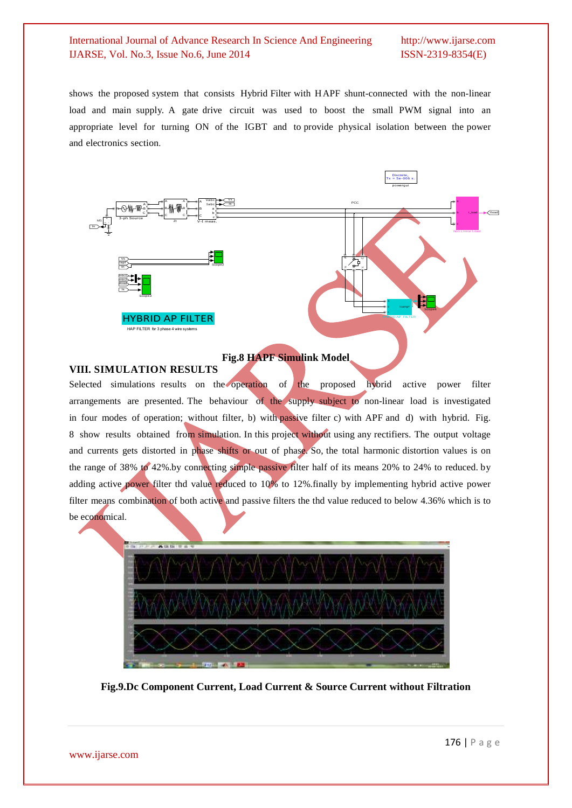shows the proposed system that consists Hybrid Filter with HAPF shunt-connected with the non-linear load and main supply. A gate drive circuit was used to boost the small PWM signal into an appropriate level for turning ON of the IGBT and to provide physical isolation between the power<br>and electronics section.<br> $\frac{1}{T_s = \frac{Distance}{1.5} = \frac{1}{P} \times 0.066 \text{ s.}}$ and electronics section.



#### **Fig.8 HAPF Simulink Model**

#### **VIII. SIMULATION RESULTS**

Selected simulations results on the operation of the proposed hybrid active power filter arrangements are presented. The behaviour of the supply subject to non-linear load is investigated in four modes of operation; without filter, b) with passive filter c) with APF and d) with hybrid. Fig. 8 show results obtained from simulation. In this project without using any rectifiers. The output voltage and currents gets distorted in phase shifts or out of phase. So, the total harmonic distortion values is on the range of 38% to 42%.by connecting simple passive filter half of its means 20% to 24% to reduced. by adding active power filter thd value reduced to 10% to 12%.finally by implementing hybrid active power filter means combination of both active and passive filters the thd value reduced to below 4.36% which is to be economical.



**Fig.9.Dc Component Current, Load Current & Source Current without Filtration**

www.ijarse.com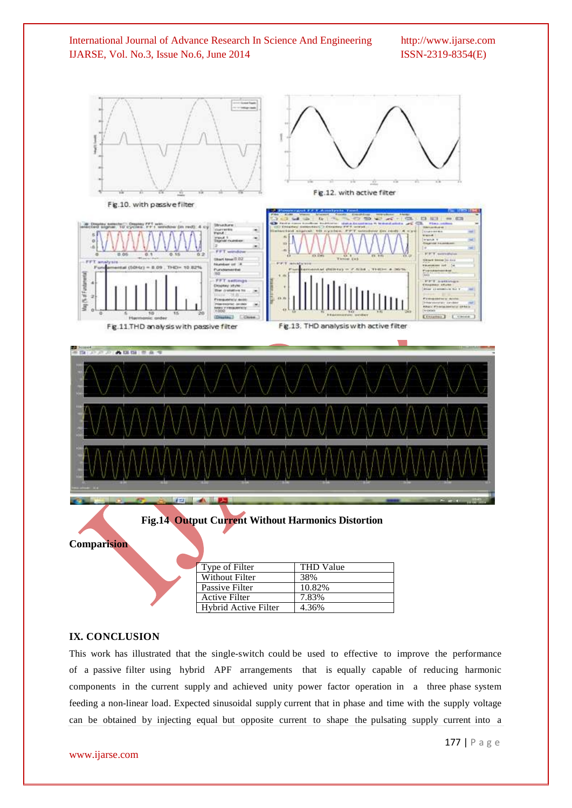

#### **IX. CONCLUSION**

This work has illustrated that the single-switch could be used to effective to improve the performance of a passive filter using hybrid APF arrangements that is equally capable of reducing harmonic components in the current supply and achieved unity power factor operation in a three phase system feeding a non-linear load. Expected sinusoidal supply current that in phase and time with the supply voltage can be obtained by injecting equal but opposite current to shape the pulsating supply current into a